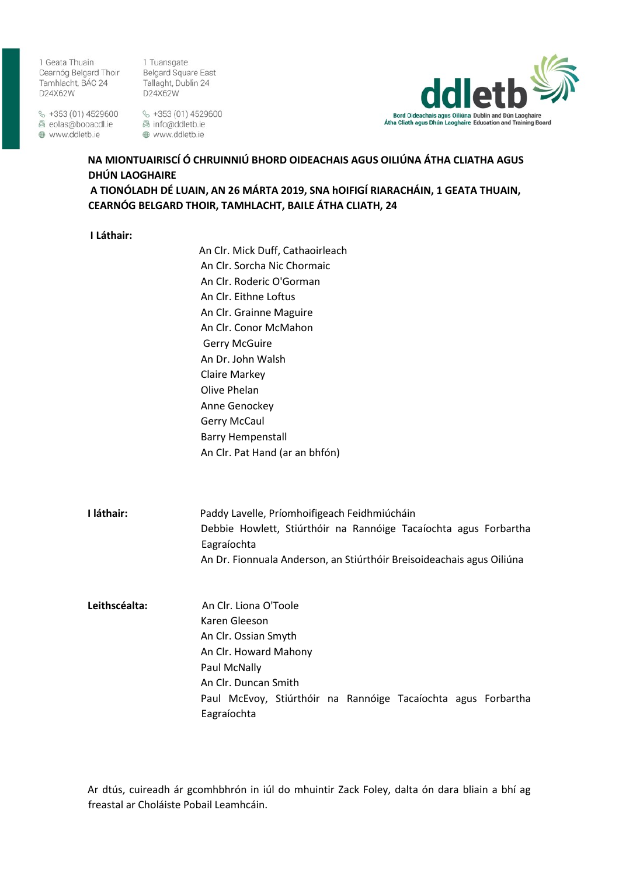1 Geata Thuain Cearnóg Belgard Thoir Belgard Square East Cearnog Beigard Thoir<br>Tamhlacht, BÁC 24 D24X62W

 $\%$  +353 (01) 4529600  $\%$  +353 (01) 4529600 ⊕ www.ddletb.ie

1 Tuansgate Tallaght, Dublin 24 D24X62W

www.ddletb.ie



# **NA MIONTUAIRISCÍ Ó CHRUINNIÚ BHORD OIDEACHAIS AGUS OILIÚNA ÁTHA CLIATHA AGUS DHÚN LAOGHAIRE**

**A TIONÓLADH DÉ LUAIN, AN 26 MÁRTA 2019, SNA hOIFIGÍ RIARACHÁIN, 1 GEATA THUAIN, CEARNÓG BELGARD THOIR, TAMHLACHT, BAILE ÁTHA CLIATH, 24**

**I Láthair:**

An Clr. Mick Duff, Cathaoirleach An Clr. Sorcha Nic Chormaic An Clr. Roderic O'Gorman An Clr. Eithne Loftus An Clr. Grainne Maguire An Clr. Conor McMahon Gerry McGuire An Dr. John Walsh Claire Markey Olive Phelan Anne Genockey Gerry McCaul Barry Hempenstall An Clr. Pat Hand (ar an bhfón)

**I láthair:** Paddy Lavelle, Príomhoifigeach Feidhmiúcháin Debbie Howlett, Stiúrthóir na Rannóige Tacaíochta agus Forbartha Eagraíochta An Dr. Fionnuala Anderson, an Stiúrthóir Breisoideachais agus Oiliúna

**Leithscéalta:** An Clr. Liona O'Toole Karen Gleeson An Clr. Ossian Smyth An Clr. Howard Mahony Paul McNally An Clr. Duncan Smith Paul McEvoy, Stiúrthóir na Rannóige Tacaíochta agus Forbartha Eagraíochta

Ar dtús, cuireadh ár gcomhbhrón in iúl do mhuintir Zack Foley, dalta ón dara bliain a bhí ag freastal ar Choláiste Pobail Leamhcáin.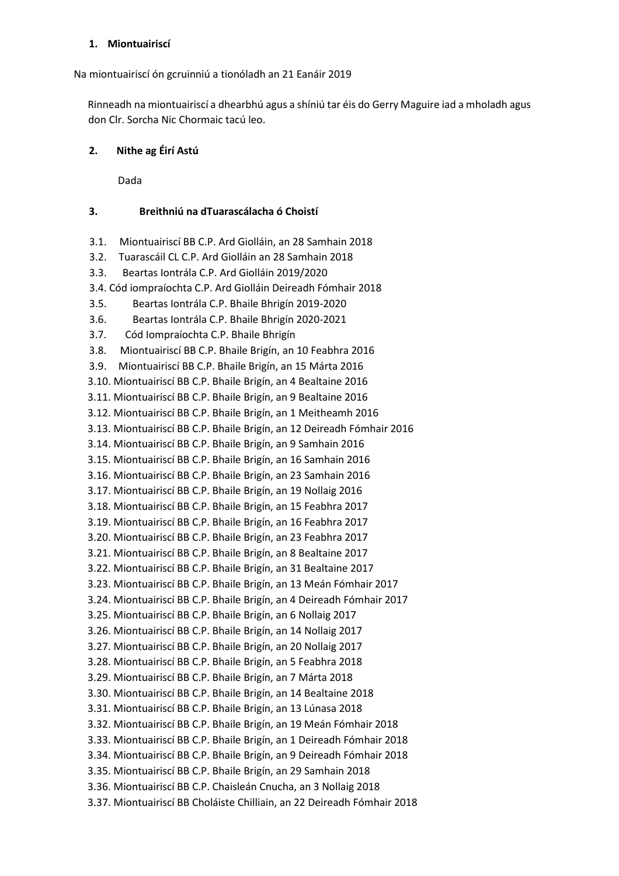#### **1. Miontuairiscí**

Na miontuairiscí ón gcruinniú a tionóladh an 21 Eanáir 2019

Rinneadh na miontuairiscí a dhearbhú agus a shíniú tar éis do Gerry Maguire iad a mholadh agus don Clr. Sorcha Nic Chormaic tacú leo.

## **2. Nithe ag Éirí Astú**

Dada

## **3. Breithniú na dTuarascálacha ó Choistí**

- 3.1. Miontuairiscí BB C.P. Ard Giolláin, an 28 Samhain 2018
- 3.2. Tuarascáil CL C.P. Ard Giolláin an 28 Samhain 2018
- 3.3. Beartas Iontrála C.P. Ard Giolláin 2019/2020
- 3.4. Cód iompraíochta C.P. Ard Giolláin Deireadh Fómhair 2018
- 3.5. Beartas Iontrála C.P. Bhaile Bhrigín 2019-2020
- 3.6. Beartas Iontrála C.P. Bhaile Bhrigín 2020-2021
- 3.7. Cód Iompraíochta C.P. Bhaile Bhrigín

3.8. Miontuairiscí BB C.P. Bhaile Brigín, an 10 Feabhra 2016

- 3.9. Miontuairiscí BB C.P. Bhaile Brigín, an 15 Márta 2016
- 3.10. Miontuairiscí BB C.P. Bhaile Brigín, an 4 Bealtaine 2016
- 3.11. Miontuairiscí BB C.P. Bhaile Brigín, an 9 Bealtaine 2016
- 3.12. Miontuairiscí BB C.P. Bhaile Brigín, an 1 Meitheamh 2016
- 3.13. Miontuairiscí BB C.P. Bhaile Brigín, an 12 Deireadh Fómhair 2016
- 3.14. Miontuairiscí BB C.P. Bhaile Brigín, an 9 Samhain 2016
- 3.15. Miontuairiscí BB C.P. Bhaile Brigín, an 16 Samhain 2016
- 3.16. Miontuairiscí BB C.P. Bhaile Brigín, an 23 Samhain 2016
- 3.17. Miontuairiscí BB C.P. Bhaile Brigín, an 19 Nollaig 2016
- 3.18. Miontuairiscí BB C.P. Bhaile Brigín, an 15 Feabhra 2017
- 3.19. Miontuairiscí BB C.P. Bhaile Brigín, an 16 Feabhra 2017
- 3.20. Miontuairiscí BB C.P. Bhaile Brigín, an 23 Feabhra 2017
- 3.21. Miontuairiscí BB C.P. Bhaile Brigín, an 8 Bealtaine 2017
- 3.22. Miontuairiscí BB C.P. Bhaile Brigín, an 31 Bealtaine 2017
- 3.23. Miontuairiscí BB C.P. Bhaile Brigín, an 13 Meán Fómhair 2017
- 3.24. Miontuairiscí BB C.P. Bhaile Brigín, an 4 Deireadh Fómhair 2017
- 3.25. Miontuairiscí BB C.P. Bhaile Brigín, an 6 Nollaig 2017
- 3.26. Miontuairiscí BB C.P. Bhaile Brigín, an 14 Nollaig 2017
- 3.27. Miontuairiscí BB C.P. Bhaile Brigín, an 20 Nollaig 2017
- 3.28. Miontuairiscí BB C.P. Bhaile Brigín, an 5 Feabhra 2018
- 3.29. Miontuairiscí BB C.P. Bhaile Brigín, an 7 Márta 2018
- 3.30. Miontuairiscí BB C.P. Bhaile Brigín, an 14 Bealtaine 2018
- 3.31. Miontuairiscí BB C.P. Bhaile Brigín, an 13 Lúnasa 2018
- 3.32. Miontuairiscí BB C.P. Bhaile Brigín, an 19 Meán Fómhair 2018
- 3.33. Miontuairiscí BB C.P. Bhaile Brigín, an 1 Deireadh Fómhair 2018
- 3.34. Miontuairiscí BB C.P. Bhaile Brigín, an 9 Deireadh Fómhair 2018
- 3.35. Miontuairiscí BB C.P. Bhaile Brigín, an 29 Samhain 2018
- 3.36. Miontuairiscí BB C.P. Chaisleán Cnucha, an 3 Nollaig 2018
- 3.37. Miontuairiscí BB Choláiste Chilliain, an 22 Deireadh Fómhair 2018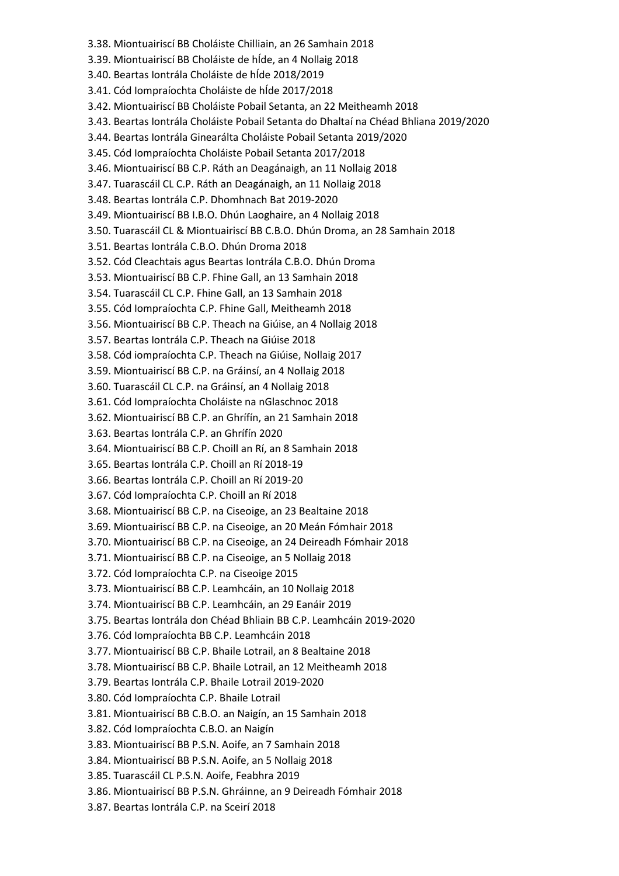- 3.38. Miontuairiscí BB Choláiste Chilliain, an 26 Samhain 2018
- 3.39. Miontuairiscí BB Choláiste de hÍde, an 4 Nollaig 2018
- 3.40. Beartas Iontrála Choláiste de hÍde 2018/2019
- 3.41. Cód Iompraíochta Choláiste de hÍde 2017/2018
- 3.42. Miontuairiscí BB Choláiste Pobail Setanta, an 22 Meitheamh 2018
- 3.43. Beartas Iontrála Choláiste Pobail Setanta do Dhaltaí na Chéad Bhliana 2019/2020
- 3.44. Beartas Iontrála Ginearálta Choláiste Pobail Setanta 2019/2020
- 3.45. Cód Iompraíochta Choláiste Pobail Setanta 2017/2018
- 3.46. Miontuairiscí BB C.P. Ráth an Deagánaigh, an 11 Nollaig 2018
- 3.47. Tuarascáil CL C.P. Ráth an Deagánaigh, an 11 Nollaig 2018
- 3.48. Beartas Iontrála C.P. Dhomhnach Bat 2019-2020
- 3.49. Miontuairiscí BB I.B.O. Dhún Laoghaire, an 4 Nollaig 2018
- 3.50. Tuarascáil CL & Miontuairiscí BB C.B.O. Dhún Droma, an 28 Samhain 2018
- 3.51. Beartas Iontrála C.B.O. Dhún Droma 2018
- 3.52. Cód Cleachtais agus Beartas Iontrála C.B.O. Dhún Droma
- 3.53. Miontuairiscí BB C.P. Fhine Gall, an 13 Samhain 2018
- 3.54. Tuarascáil CL C.P. Fhine Gall, an 13 Samhain 2018
- 3.55. Cód Iompraíochta C.P. Fhine Gall, Meitheamh 2018
- 3.56. Miontuairiscí BB C.P. Theach na Giúise, an 4 Nollaig 2018
- 3.57. Beartas Iontrála C.P. Theach na Giúise 2018
- 3.58. Cód iompraíochta C.P. Theach na Giúise, Nollaig 2017
- 3.59. Miontuairiscí BB C.P. na Gráinsí, an 4 Nollaig 2018
- 3.60. Tuarascáil CL C.P. na Gráinsí, an 4 Nollaig 2018
- 3.61. Cód Iompraíochta Choláiste na nGlaschnoc 2018
- 3.62. Miontuairiscí BB C.P. an Ghrífín, an 21 Samhain 2018
- 3.63. Beartas Iontrála C.P. an Ghrífín 2020
- 3.64. Miontuairiscí BB C.P. Choill an Rí, an 8 Samhain 2018
- 3.65. Beartas Iontrála C.P. Choill an Rí 2018-19
- 3.66. Beartas Iontrála C.P. Choill an Rí 2019-20
- 3.67. Cód Iompraíochta C.P. Choill an Rí 2018
- 3.68. Miontuairiscí BB C.P. na Ciseoige, an 23 Bealtaine 2018
- 3.69. Miontuairiscí BB C.P. na Ciseoige, an 20 Meán Fómhair 2018
- 3.70. Miontuairiscí BB C.P. na Ciseoige, an 24 Deireadh Fómhair 2018
- 3.71. Miontuairiscí BB C.P. na Ciseoige, an 5 Nollaig 2018
- 3.72. Cód Iompraíochta C.P. na Ciseoige 2015
- 3.73. Miontuairiscí BB C.P. Leamhcáin, an 10 Nollaig 2018
- 3.74. Miontuairiscí BB C.P. Leamhcáin, an 29 Eanáir 2019
- 3.75. Beartas Iontrála don Chéad Bhliain BB C.P. Leamhcáin 2019-2020
- 3.76. Cód Iompraíochta BB C.P. Leamhcáin 2018
- 3.77. Miontuairiscí BB C.P. Bhaile Lotrail, an 8 Bealtaine 2018
- 3.78. Miontuairiscí BB C.P. Bhaile Lotrail, an 12 Meitheamh 2018
- 3.79. Beartas Iontrála C.P. Bhaile Lotrail 2019-2020
- 3.80. Cód Iompraíochta C.P. Bhaile Lotrail
- 3.81. Miontuairiscí BB C.B.O. an Naigín, an 15 Samhain 2018
- 3.82. Cód Iompraíochta C.B.O. an Naigín
- 3.83. Miontuairiscí BB P.S.N. Aoife, an 7 Samhain 2018
- 3.84. Miontuairiscí BB P.S.N. Aoife, an 5 Nollaig 2018
- 3.85. Tuarascáil CL P.S.N. Aoife, Feabhra 2019
- 3.86. Miontuairiscí BB P.S.N. Ghráinne, an 9 Deireadh Fómhair 2018
- 3.87. Beartas Iontrála C.P. na Sceirí 2018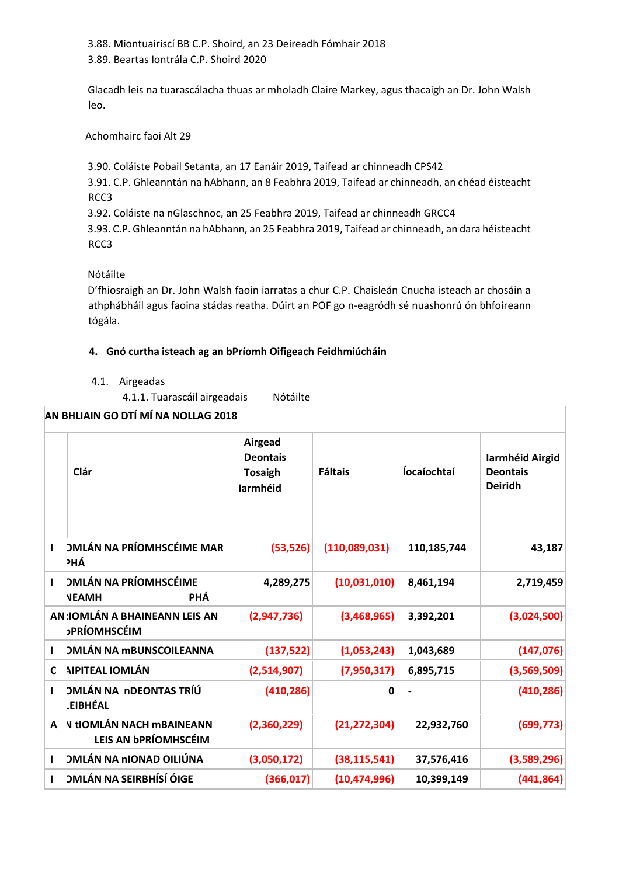3.88. Miontuairiscí BB C.P. Shoird, an 23 Deireadh Fómhair 2018

3.89. Beartas Iontrála C.P. Shoird 2020

Glacadh leis na tuarascálacha thuas ar mholadh Claire Markey, agus thacaigh an Dr. John Walsh leo.

Achomhairc faoi Alt 29

3.90. Coláiste Pobail Setanta, an 17 Eanáir 2019, Taifead ar chinneadh CPS42

3.91. C.P. Ghleanntán na hAbhann, an 8 Feabhra 2019, Taifead ar chinneadh, an chéad éisteacht RCC3

3.92. Coláiste na nGlaschnoc, an 25 Feabhra 2019, Taifead ar chinneadh GRCC4

3.93. C.P. Ghleanntán na hAbhann, an 25 Feabhra 2019, Taifead ar chinneadh, an dara héisteacht RCC3

Nótáilte

D'fhiosraigh an Dr. John Walsh faoin iarratas a chur C.P. Chaisleán Cnucha isteach ar chosáin a athphábháil agus faoina stádas reatha. Dúirt an POF go n-eagródh sé nuashonrú ón bhfoireann tógála.

# **4. Gnó curtha isteach ag an bPríomh Oifigeach Feidhmiúcháin**

## 4.1. Airgeadas

4.1.1. Tuarascáil airgeadais Nótáilte

| AN BHLIAIN GO DTÍ MÍ NA NOLLAG 2018 |                                                                |                                                                 |                |                    |                                                      |  |  |
|-------------------------------------|----------------------------------------------------------------|-----------------------------------------------------------------|----------------|--------------------|------------------------------------------------------|--|--|
|                                     | Clár                                                           | <b>Airgead</b><br><b>Deontais</b><br><b>Tosaigh</b><br>larmhéid | <b>Fáltais</b> | <b>Íocaíochtaí</b> | Iarmhéid Airgid<br><b>Deontais</b><br><b>Deiridh</b> |  |  |
|                                     |                                                                |                                                                 |                |                    |                                                      |  |  |
| п                                   | <b>OMLÁN NA PRÍOMHSCÉIME MAR</b><br><sup>2</sup> HÁ            | (53, 526)                                                       | (110,089,031)  | 110,185,744        | 43,187                                               |  |  |
| 1                                   | <b>OMLÁN NA PRÍOMHSCÉIME</b><br>PHÁ<br><b>NEAMH</b>            | 4,289,275                                                       | (10,031,010)   | 8,461,194          | 2,719,459                                            |  |  |
|                                     | AN : IOMLÁN A BHAINEANN LEIS AN<br><b>PRÍOMHSCÉIM</b>          | (2,947,736)                                                     | (3,468,965)    | 3,392,201          | (3,024,500)                                          |  |  |
|                                     | <b><i>OMLÁN NA MBUNSCOILEANNA</i></b>                          | (137, 522)                                                      | (1,053,243)    | 1,043,689          | (147, 076)                                           |  |  |
| C                                   | <b>AIPITEAL IOMLÁN</b>                                         | (2,514,907)                                                     | (7,950,317)    | 6,895,715          | (3,569,509)                                          |  |  |
|                                     | <b>OMLÁN NA nDEONTAS TRÍÚ</b><br><b>EIBHÉAL</b>                | (410, 286)                                                      | 0              |                    | (410, 286)                                           |  |  |
| A                                   | <b>V tIOMLÁN NACH MBAINEANN</b><br>LEIS AN <b>bPRÍOMHSCÉIM</b> | (2,360,229)                                                     | (21, 272, 304) | 22,932,760         | (699, 773)                                           |  |  |
| I.                                  | <b>OMLÁN NA nIONAD OILIÚNA</b>                                 | (3,050,172)                                                     | (38, 115, 541) | 37,576,416         | (3,589,296)                                          |  |  |
|                                     | <b>OMLÁN NA SEIRBHÍSÍ ÓIGE</b>                                 | (366, 017)                                                      | (10, 474, 996) | 10,399,149         | (441, 864)                                           |  |  |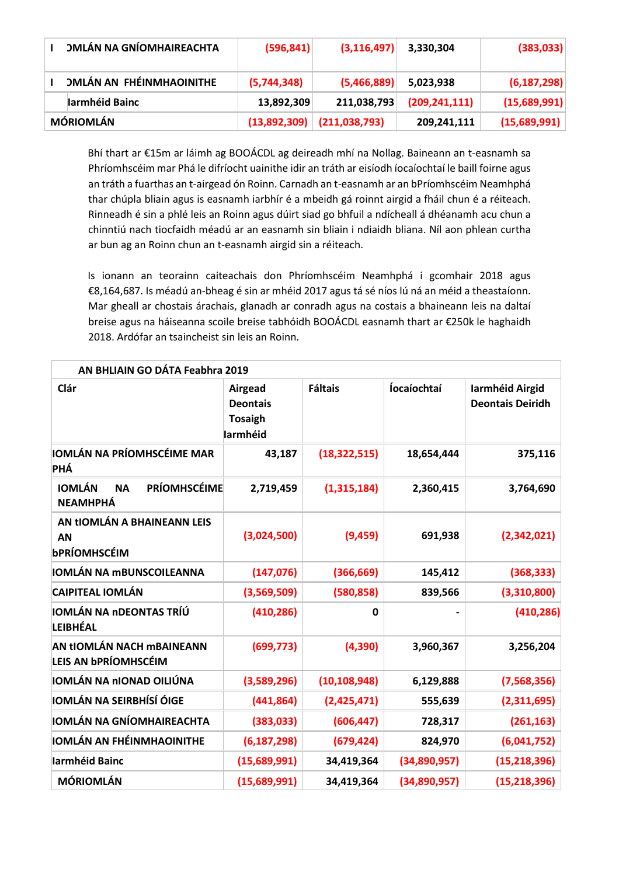|                  | <b>OMLÁN NA GNÍOMHAIREACHTA</b> | (596, 841)  | (3, 116, 497)                  | 3,330,304       | (383,033)     |
|------------------|---------------------------------|-------------|--------------------------------|-----------------|---------------|
|                  | <b>OMLÁN AN FHÉINMHAOINITHE</b> | (5,744,348) | (5,466,889)                    | 5,023,938       | (6, 187, 298) |
|                  | Iarmhéid Bainc                  | 13,892,309  | 211,038,793                    | (209, 241, 111) | (15,689,991)  |
| <b>MÓRIOMLÁN</b> |                                 |             | $(13,892,309)$ $(211,038,793)$ | 209,241,111     | (15,689,991)  |

Bhí thart ar €15m ar láimh ag BOOÁCDL ag deireadh mhí na Nollag. Baineann an t-easnamh sa Phríomhscéim mar Phá le difríocht uainithe idir an tráth ar eisíodh íocaíochtaí le baill foirne agus an tráth a fuarthas an t-airgead ón Roinn. Carnadh an t-easnamh ar an bPríomhscéim Neamhphá thar chúpla bliain agus is easnamh iarbhír é a mbeidh gá roinnt airgid a fháil chun é a réiteach. Rinneadh é sin a phlé leis an Roinn agus dúirt siad go bhfuil a ndícheall á dhéanamh acu chun a chinntiú nach tiocfaidh méadú ar an easnamh sin bliain i ndiaidh bliana. Níl aon phlean curtha ar bun ag an Roinn chun an t-easnamh airgid sin a réiteach.

Is ionann an teorainn caiteachais don Phríomhscéim Neamhphá i gcomhair 2018 agus €8,164,687. Is méadú an-bheag é sin ar mhéid 2017 agus tá sé níos lú ná an méid a theastaíonn. Mar gheall ar chostais árachais, glanadh ar conradh agus na costais a bhaineann leis na daltaí breise agus na háiseanna scoile breise tabhóidh BOOÁCDL easnamh thart ar €250k le haghaidh 2018. Ardófar an tsaincheist sin leis an Roinn.

| AN BHLIAIN GO DÁTA Feabhra 2019                                      |                                                          |                |                    |                                            |
|----------------------------------------------------------------------|----------------------------------------------------------|----------------|--------------------|--------------------------------------------|
| Clár                                                                 | Airgead<br><b>Deontais</b><br><b>Tosaigh</b><br>larmhéid | <b>Fáltais</b> | <b>Íocaíochtaí</b> | Iarmhéid Airgid<br><b>Deontais Deiridh</b> |
| IOMLÁN NA PRÍOMHSCÉIME MAR<br>PHÁ                                    | 43,187                                                   | (18, 322, 515) | 18,654,444         | 375,116                                    |
| <b>PRÍOMHSCÉIME</b><br><b>IOMLÁN</b><br><b>NA</b><br><b>NEAMHPHÁ</b> | 2,719,459                                                | (1,315,184)    | 2,360,415          | 3,764,690                                  |
| AN tIOMLÁN A BHAINEANN LEIS<br><b>AN</b><br><b>bPRÍOMHSCÉIM</b>      | (3,024,500)                                              | (9, 459)       | 691,938            | (2,342,021)                                |
| IOMLÁN NA mBUNSCOILEANNA                                             | (147, 076)                                               | (366, 669)     | 145,412            | (368, 333)                                 |
| <b>CAIPITEAL IOMLÁN</b>                                              | (3,569,509)                                              | (580, 858)     | 839,566            | (3,310,800)                                |
| IOMLÁN NA NDEONTAS TRÍÚ<br>LEIBHÉAL                                  | (410, 286)                                               | $\mathbf 0$    |                    | (410, 286)                                 |
| AN tIOMLÁN NACH MBAINEANN<br>LEIS AN bPRÍOMHSCÉIM                    | (699, 773)                                               | (4, 390)       | 3,960,367          | 3,256,204                                  |
| IOMLÁN NA nIONAD OILIÚNA                                             | (3,589,296)                                              | (10, 108, 948) | 6,129,888          | (7,568,356)                                |
| IOMLÁN NA SEIRBHÍSÍ ÓIGE                                             | (441, 864)                                               | (2,425,471)    | 555,639            | (2,311,695)                                |
| IOMLÁN NA GNÍOMHAIREACHTA                                            | (383, 033)                                               | (606, 447)     | 728,317            | (261, 163)                                 |
| <b>IOMLÁN AN FHÉINMHAOINITHE</b>                                     | (6, 187, 298)                                            | (679, 424)     | 824,970            | (6,041,752)                                |
| larmhéid Bainc                                                       | (15,689,991)                                             | 34,419,364     | (34,890,957)       | (15, 218, 396)                             |
| <b>MÓRIOMLÁN</b>                                                     | (15,689,991)                                             | 34,419,364     | (34,890,957)       | (15, 218, 396)                             |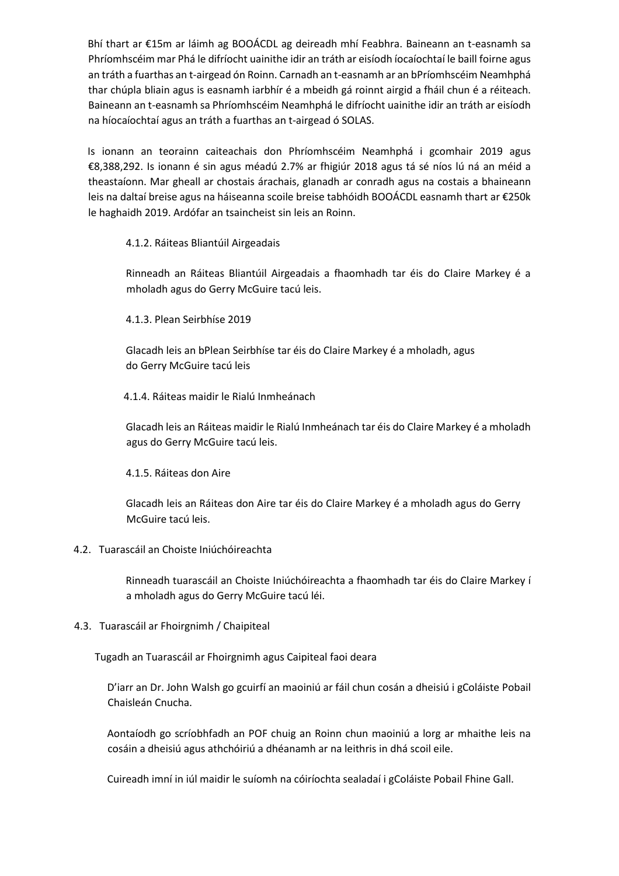Bhí thart ar €15m ar láimh ag BOOÁCDL ag deireadh mhí Feabhra. Baineann an t-easnamh sa Phríomhscéim mar Phá le difríocht uainithe idir an tráth ar eisíodh íocaíochtaí le baill foirne agus an tráth a fuarthas an t-airgead ón Roinn. Carnadh an t-easnamh ar an bPríomhscéim Neamhphá thar chúpla bliain agus is easnamh iarbhír é a mbeidh gá roinnt airgid a fháil chun é a réiteach. Baineann an t-easnamh sa Phríomhscéim Neamhphá le difríocht uainithe idir an tráth ar eisíodh na híocaíochtaí agus an tráth a fuarthas an t-airgead ó SOLAS.

Is ionann an teorainn caiteachais don Phríomhscéim Neamhphá i gcomhair 2019 agus €8,388,292. Is ionann é sin agus méadú 2.7% ar fhigiúr 2018 agus tá sé níos lú ná an méid a theastaíonn. Mar gheall ar chostais árachais, glanadh ar conradh agus na costais a bhaineann leis na daltaí breise agus na háiseanna scoile breise tabhóidh BOOÁCDL easnamh thart ar €250k le haghaidh 2019. Ardófar an tsaincheist sin leis an Roinn.

#### 4.1.2. Ráiteas Bliantúil Airgeadais

Rinneadh an Ráiteas Bliantúil Airgeadais a fhaomhadh tar éis do Claire Markey é a mholadh agus do Gerry McGuire tacú leis.

## 4.1.3. Plean Seirbhíse 2019

Glacadh leis an bPlean Seirbhíse tar éis do Claire Markey é a mholadh, agus do Gerry McGuire tacú leis

#### 4.1.4. Ráiteas maidir le Rialú Inmheánach

Glacadh leis an Ráiteas maidir le Rialú Inmheánach tar éis do Claire Markey é a mholadh agus do Gerry McGuire tacú leis.

#### 4.1.5. Ráiteas don Aire

Glacadh leis an Ráiteas don Aire tar éis do Claire Markey é a mholadh agus do Gerry McGuire tacú leis.

## 4.2. Tuarascáil an Choiste Iniúchóireachta

Rinneadh tuarascáil an Choiste Iniúchóireachta a fhaomhadh tar éis do Claire Markey í a mholadh agus do Gerry McGuire tacú léi.

## 4.3. Tuarascáil ar Fhoirgnimh / Chaipiteal

Tugadh an Tuarascáil ar Fhoirgnimh agus Caipiteal faoi deara

D'iarr an Dr. John Walsh go gcuirfí an maoiniú ar fáil chun cosán a dheisiú i gColáiste Pobail Chaisleán Cnucha.

Aontaíodh go scríobhfadh an POF chuig an Roinn chun maoiniú a lorg ar mhaithe leis na cosáin a dheisiú agus athchóiriú a dhéanamh ar na leithris in dhá scoil eile.

Cuireadh imní in iúl maidir le suíomh na cóiríochta sealadaí i gColáiste Pobail Fhine Gall.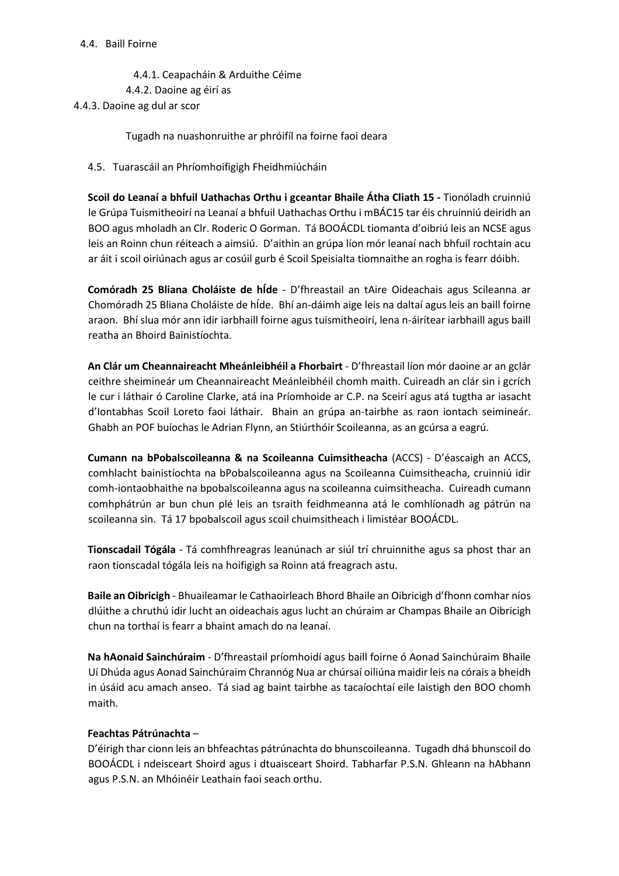4.4.1. Ceapacháin & Arduithe Céime 4.4.2. Daoine ag éirí as 4.4.3. Daoine ag dul ar scor

Tugadh na nuashonruithe ar phróifíl na foirne faoi deara

## 4.5. Tuarascáil an Phríomhoifigigh Fheidhmiúcháin

**Scoil do Leanaí a bhfuil Uathachas Orthu i gceantar Bhaile Átha Cliath 15 -** Tionóladh cruinniú le Grúpa Tuismitheoirí na Leanaí a bhfuil Uathachas Orthu i mBÁC15 tar éis chruinniú deiridh an BOO agus mholadh an Clr. Roderic O Gorman. Tá BOOÁCDL tiomanta d'oibriú leis an NCSE agus leis an Roinn chun réiteach a aimsiú. D'aithin an grúpa líon mór leanaí nach bhfuil rochtain acu ar áit i scoil oiriúnach agus ar cosúil gurb é Scoil Speisialta tiomnaithe an rogha is fearr dóibh.

**Comóradh 25 Bliana Choláiste de hÍde** - D'fhreastail an tAire Oideachais agus Scileanna ar Chomóradh 25 Bliana Choláiste de hÍde. Bhí an-dáimh aige leis na daltaí agus leis an baill foirne araon. Bhí slua mór ann idir iarbhaill foirne agus tuismitheoirí, lena n-áirítear iarbhaill agus baill reatha an Bhoird Bainistíochta.

**An Clár um Cheannaireacht Mheánleibhéil a Fhorbairt** - D'fhreastail líon mór daoine ar an gclár ceithre sheimineár um Cheannaireacht Meánleibhéil chomh maith. Cuireadh an clár sin i gcrích le cur i láthair ó Caroline Clarke, atá ina Príomhoide ar C.P. na Sceirí agus atá tugtha ar iasacht d'Iontabhas Scoil Loreto faoi láthair. Bhain an grúpa an-tairbhe as raon iontach seimineár. Ghabh an POF buíochas le Adrian Flynn, an Stiúrthóir Scoileanna, as an gcúrsa a eagrú.

**Cumann na bPobalscoileanna & na Scoileanna Cuimsitheacha** (ACCS) - D'éascaigh an ACCS, comhlacht bainistíochta na bPobalscoileanna agus na Scoileanna Cuimsitheacha, cruinniú idir comh-iontaobhaithe na bpobalscoileanna agus na scoileanna cuimsitheacha. Cuireadh cumann comhphátrún ar bun chun plé leis an tsraith feidhmeanna atá le comhlíonadh ag pátrún na scoileanna sin. Tá 17 bpobalscoil agus scoil chuimsitheach i limistéar BOOÁCDL.

**Tionscadail Tógála** - Tá comhfhreagras leanúnach ar siúl trí chruinnithe agus sa phost thar an raon tionscadal tógála leis na hoifigigh sa Roinn atá freagrach astu.

**Baile an Oibricigh** - Bhuaileamar le Cathaoirleach Bhord Bhaile an Oibricigh d'fhonn comhar níos dlúithe a chruthú idir lucht an oideachais agus lucht an chúraim ar Champas Bhaile an Oibricigh chun na torthaí is fearr a bhaint amach do na leanaí.

**Na hAonaid Sainchúraim** - D'fhreastail príomhoidí agus baill foirne ó Aonad Sainchúraim Bhaile Uí Dhúda agus Aonad Sainchúraim Chrannóg Nua ar chúrsaí oiliúna maidir leis na córais a bheidh in úsáid acu amach anseo. Tá siad ag baint tairbhe as tacaíochtaí eile laistigh den BOO chomh maith.

#### **Feachtas Pátrúnachta** –

D'éirigh thar cionn leis an bhfeachtas pátrúnachta do bhunscoileanna. Tugadh dhá bhunscoil do BOOÁCDL i ndeisceart Shoird agus i dtuaisceart Shoird. Tabharfar P.S.N. Ghleann na hAbhann agus P.S.N. an Mhóinéir Leathain faoi seach orthu.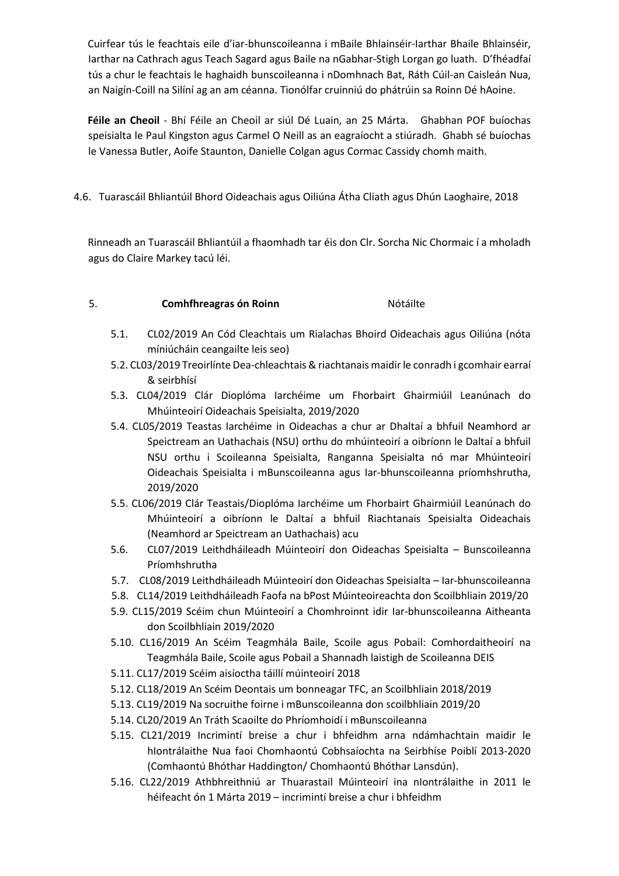Cuirfear tús le feachtais eile d'iar-bhunscoileanna i mBaile Bhlainséir-Iarthar Bhaile Bhlainséir, Iarthar na Cathrach agus Teach Sagard agus Baile na nGabhar-Stigh Lorgan go luath. D'fhéadfaí tús a chur le feachtais le haghaidh bunscoileanna i nDomhnach Bat, Ráth Cúil-an Caisleán Nua, an Naigín-Coill na Silíní ag an am céanna. Tionólfar cruinniú do phátrúin sa Roinn Dé hAoine.

**Féile an Cheoil** - Bhí Féile an Cheoil ar siúl Dé Luain, an 25 Márta. Ghabhan POF buíochas speisialta le Paul Kingston agus Carmel O Neill as an eagraíocht a stiúradh. Ghabh sé buíochas le Vanessa Butler, Aoife Staunton, Danielle Colgan agus Cormac Cassidy chomh maith.

4.6. Tuarascáil Bhliantúil Bhord Oideachais agus Oiliúna Átha Cliath agus Dhún Laoghaire, 2018

Rinneadh an Tuarascáil Bhliantúil a fhaomhadh tar éis don Clr. Sorcha Nic Chormaic í a mholadh agus do Claire Markey tacú léi.

## 5. **Comhfhreagras ón Roinn** Nótáilte

- 5.1. CL02/2019 An Cód Cleachtais um Rialachas Bhoird Oideachais agus Oiliúna (nóta míniúcháin ceangailte leis seo)
- 5.2. CL03/2019 Treoirlínte Dea-chleachtais & riachtanais maidir le conradh i gcomhair earraí & seirbhísí
- 5.3. CL04/2019 Clár Dioplóma Iarchéime um Fhorbairt Ghairmiúil Leanúnach do Mhúinteoirí Oideachais Speisialta, 2019/2020
- 5.4. CL05/2019 Teastas Iarchéime in Oideachas a chur ar Dhaltaí a bhfuil Neamhord ar Speictream an Uathachais (NSU) orthu do mhúinteoirí a oibríonn le Daltaí a bhfuil NSU orthu i Scoileanna Speisialta, Ranganna Speisialta nó mar Mhúinteoirí Oideachais Speisialta i mBunscoileanna agus Iar-bhunscoileanna príomhshrutha, 2019/2020
- 5.5. CL06/2019 Clár Teastais/Dioplóma Iarchéime um Fhorbairt Ghairmiúil Leanúnach do Mhúinteoirí a oibríonn le Daltaí a bhfuil Riachtanais Speisialta Oideachais (Neamhord ar Speictream an Uathachais) acu
- 5.6. CL07/2019 Leithdháileadh Múinteoirí don Oideachas Speisialta Bunscoileanna Príomhshrutha
- 5.7. CL08/2019 Leithdháileadh Múinteoirí don Oideachas Speisialta Iar-bhunscoileanna
- 5.8. CL14/2019 Leithdháileadh Faofa na bPost Múinteoireachta don Scoilbhliain 2019/20
- 5.9. CL15/2019 Scéim chun Múinteoirí a Chomhroinnt idir Iar-bhunscoileanna Aitheanta don Scoilbhliain 2019/2020
- 5.10. CL16/2019 An Scéim Teagmhála Baile, Scoile agus Pobail: Comhordaitheoirí na Teagmhála Baile, Scoile agus Pobail a Shannadh laistigh de Scoileanna DEIS
- 5.11. CL17/2019 Scéim aisíoctha táillí múinteoirí 2018
- 5.12. CL18/2019 An Scéim Deontais um bonneagar TFC, an Scoilbhliain 2018/2019
- 5.13. CL19/2019 Na socruithe foirne i mBunscoileanna don scoilbhliain 2019/20
- 5.14. CL20/2019 An Tráth Scaoilte do Phríomhoidí i mBunscoileanna
- 5.15. CL21/2019 Incrimintí breise a chur i bhfeidhm arna ndámhachtain maidir le hIontrálaithe Nua faoi Chomhaontú Cobhsaíochta na Seirbhíse Poiblí 2013-2020 (Comhaontú Bhóthar Haddington/ Chomhaontú Bhóthar Lansdún).
- 5.16. CL22/2019 Athbhreithniú ar Thuarastail Múinteoirí ina nIontrálaithe in 2011 le héifeacht ón 1 Márta 2019 – incrimintí breise a chur i bhfeidhm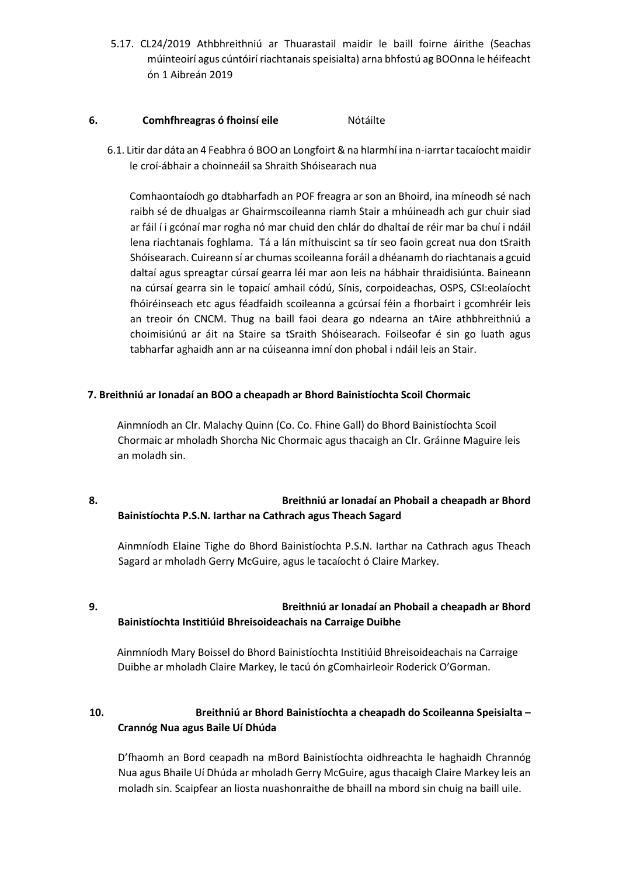5.17. CL24/2019 Athbhreithniú ar Thuarastail maidir le baill foirne áirithe (Seachas múinteoirí agus cúntóirí riachtanais speisialta) arna bhfostú ag BOOnna le héifeacht ón 1 Aibreán 2019

#### **6. Comhfhreagras ó fhoinsí eile** Nótáilte

6.1. Litir dar dáta an 4 Feabhra ó BOO an Longfoirt & na hIarmhí ina n-iarrtar tacaíocht maidir le croí-ábhair a choinneáil sa Shraith Shóisearach nua

Comhaontaíodh go dtabharfadh an POF freagra ar son an Bhoird, ina míneodh sé nach raibh sé de dhualgas ar Ghairmscoileanna riamh Stair a mhúineadh ach gur chuir siad ar fáil í i gcónaí mar rogha nó mar chuid den chlár do dhaltaí de réir mar ba chuí i ndáil lena riachtanais foghlama. Tá a lán míthuiscint sa tír seo faoin gcreat nua don tSraith Shóisearach. Cuireann sí ar chumas scoileanna foráil a dhéanamh do riachtanais a gcuid daltaí agus spreagtar cúrsaí gearra léi mar aon leis na hábhair thraidisiúnta. Baineann na cúrsaí gearra sin le topaicí amhail códú, Sínis, corpoideachas, OSPS, CSI:eolaíocht fhóiréinseach etc agus féadfaidh scoileanna a gcúrsaí féin a fhorbairt i gcomhréir leis an treoir ón CNCM. Thug na baill faoi deara go ndearna an tAire athbhreithniú a choimisiúnú ar áit na Staire sa tSraith Shóisearach. Foilseofar é sin go luath agus tabharfar aghaidh ann ar na cúiseanna imní don phobal i ndáil leis an Stair.

#### **7. Breithniú ar Ionadaí an BOO a cheapadh ar Bhord Bainistíochta Scoil Chormaic**

Ainmníodh an Clr. Malachy Quinn (Co. Co. Fhine Gall) do Bhord Bainistíochta Scoil Chormaic ar mholadh Shorcha Nic Chormaic agus thacaigh an Clr. Gráinne Maguire leis an moladh sin.

# **8. Breithniú ar Ionadaí an Phobail a cheapadh ar Bhord Bainistíochta P.S.N. Iarthar na Cathrach agus Theach Sagard**

Ainmníodh Elaine Tighe do Bhord Bainistíochta P.S.N. Iarthar na Cathrach agus Theach Sagard ar mholadh Gerry McGuire, agus le tacaíocht ó Claire Markey.

# **9. Breithniú ar Ionadaí an Phobail a cheapadh ar Bhord Bainistíochta Institiúid Bhreisoideachais na Carraige Duibhe**

Ainmníodh Mary Boissel do Bhord Bainistíochta Institiúid Bhreisoideachais na Carraige Duibhe ar mholadh Claire Markey, le tacú ón gComhairleoir Roderick O'Gorman.

## **10. Breithniú ar Bhord Bainistíochta a cheapadh do Scoileanna Speisialta – Crannóg Nua agus Baile Uí Dhúda**

D'fhaomh an Bord ceapadh na mBord Bainistíochta oidhreachta le haghaidh Chrannóg Nua agus Bhaile Uí Dhúda ar mholadh Gerry McGuire, agus thacaigh Claire Markey leis an moladh sin. Scaipfear an liosta nuashonraithe de bhaill na mbord sin chuig na baill uile.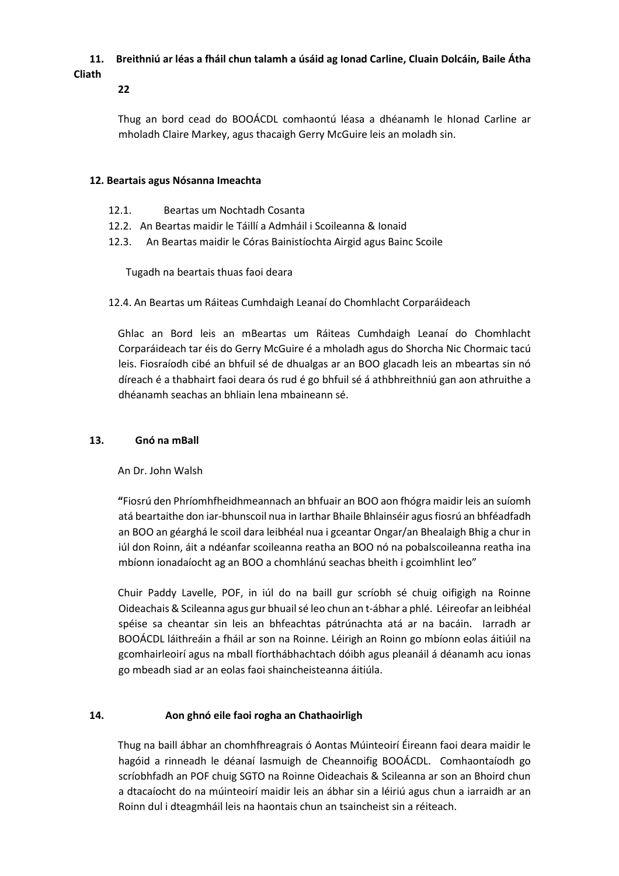# **11. Breithniú ar léas a fháil chun talamh a úsáid ag Ionad Carline, Cluain Dolcáin, Baile Átha**

# **Cliath**

**22** 

Thug an bord cead do BOOÁCDL comhaontú léasa a dhéanamh le hIonad Carline ar mholadh Claire Markey, agus thacaigh Gerry McGuire leis an moladh sin.

## **12. Beartais agus Nósanna Imeachta**

- 12.1. Beartas um Nochtadh Cosanta
- 12.2. An Beartas maidir le Táillí a Admháil i Scoileanna & Ionaid
- 12.3. An Beartas maidir le Córas Bainistíochta Airgid agus Bainc Scoile

Tugadh na beartais thuas faoi deara

12.4. An Beartas um Ráiteas Cumhdaigh Leanaí do Chomhlacht Corparáideach

Ghlac an Bord leis an mBeartas um Ráiteas Cumhdaigh Leanaí do Chomhlacht Corparáideach tar éis do Gerry McGuire é a mholadh agus do Shorcha Nic Chormaic tacú leis. Fiosraíodh cibé an bhfuil sé de dhualgas ar an BOO glacadh leis an mbeartas sin nó díreach é a thabhairt faoi deara ós rud é go bhfuil sé á athbhreithniú gan aon athruithe a dhéanamh seachas an bhliain lena mbaineann sé.

# **13. Gnó na mBall**

An Dr. John Walsh

**"**Fiosrú den Phríomhfheidhmeannach an bhfuair an BOO aon fhógra maidir leis an suíomh atá beartaithe don iar-bhunscoil nua in Iarthar Bhaile Bhlainséir agus fiosrú an bhféadfadh an BOO an géarghá le scoil dara leibhéal nua i gceantar Ongar/an Bhealaigh Bhig a chur in iúl don Roinn, áit a ndéanfar scoileanna reatha an BOO nó na pobalscoileanna reatha ina mbíonn ionadaíocht ag an BOO a chomhlánú seachas bheith i gcoimhlint leo"

Chuir Paddy Lavelle, POF, in iúl do na baill gur scríobh sé chuig oifigigh na Roinne Oideachais & Scileanna agus gur bhuail sé leo chun an t-ábhar a phlé. Léireofar an leibhéal spéise sa cheantar sin leis an bhfeachtas pátrúnachta atá ar na bacáin. Iarradh ar BOOÁCDL láithreáin a fháil ar son na Roinne. Léirigh an Roinn go mbíonn eolas áitiúil na gcomhairleoirí agus na mball fíorthábhachtach dóibh agus pleanáil á déanamh acu ionas go mbeadh siad ar an eolas faoi shaincheisteanna áitiúla.

# **14. Aon ghnó eile faoi rogha an Chathaoirligh**

Thug na baill ábhar an chomhfhreagrais ó Aontas Múinteoirí Éireann faoi deara maidir le hagóid a rinneadh le déanaí lasmuigh de Cheannoifig BOOÁCDL. Comhaontaíodh go scríobhfadh an POF chuig SGTO na Roinne Oideachais & Scileanna ar son an Bhoird chun a dtacaíocht do na múinteoirí maidir leis an ábhar sin a léiriú agus chun a iarraidh ar an Roinn dul i dteagmháil leis na haontais chun an tsaincheist sin a réiteach.